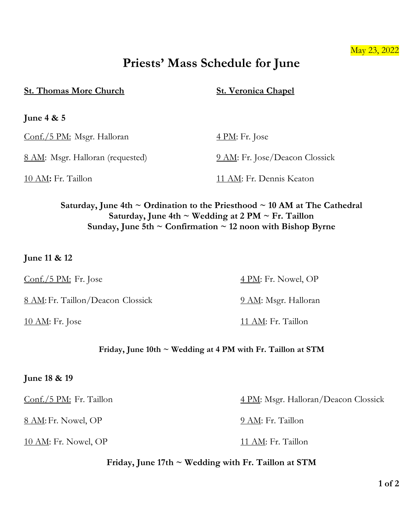### May 23, 2022

# **Priests' Mass Schedule for June**

#### **St. Thomas More Church St. Veronica Chapel**

**June 4 & 5**

Conf./5 PM: Msgr. Halloran 4 PM: Fr. Jose

8 AM: Msgr. Halloran (requested) 9 AM: Fr. Jose/Deacon Clossick

10 AM: Fr. Taillon 11 AM: Fr. Dennis Keaton

# **Saturday, June 4th ~ Ordination to the Priesthood ~ 10 AM at The Cathedral Saturday, June 4th ~ Wedding at 2 PM ~ Fr. Taillon Sunday, June 5th ~ Confirmation ~ 12 noon with Bishop Byrne**

# **June 11 & 12**

 $\frac{\text{Conf.}/5 \text{ PM:}}{\text{Fr.}}$  Fr. Jose  $\frac{4 \text{ PM:}}{\text{Fr.}}$  Nowel, OP

8 AM: Fr. Taillon/Deacon Clossick 9 AM: Msgr. Halloran

# **Friday, June 10th ~ Wedding at 4 PM with Fr. Taillon at STM**

### **June 18 & 19**

8 AM: Fr. Nowel, OP 9 AM: Fr. Taillon

10 AM: Fr. Nowel, OP 11 AM: Fr. Taillon

Conf./5 PM: Fr. Taillon 4 PM: Msgr. Halloran/Deacon Clossick

**Friday, June 17th ~ Wedding with Fr. Taillon at STM**

10 AM: Fr. Jose 11 AM: Fr. Taillon